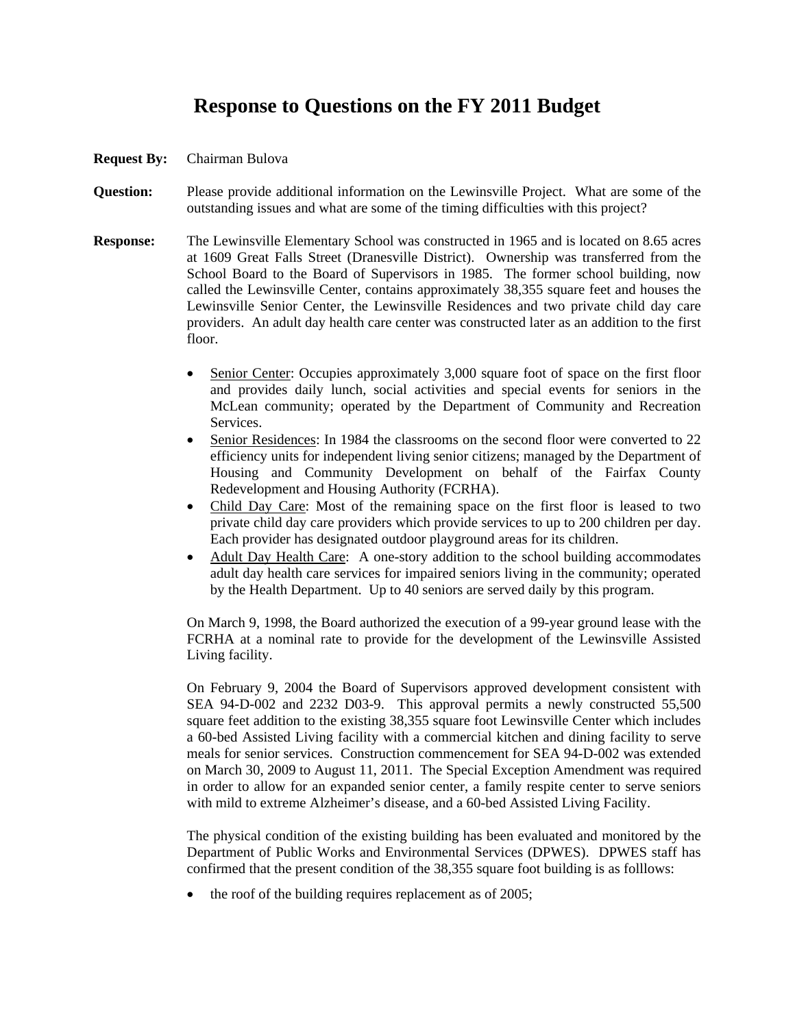## **Response to Questions on the FY 2011 Budget**

## **Request By:** Chairman Bulova

- **Question:** Please provide additional information on the Lewinsville Project. What are some of the outstanding issues and what are some of the timing difficulties with this project?
- **Response:** The Lewinsville Elementary School was constructed in 1965 and is located on 8.65 acres at 1609 Great Falls Street (Dranesville District). Ownership was transferred from the School Board to the Board of Supervisors in 1985. The former school building, now called the Lewinsville Center, contains approximately 38,355 square feet and houses the Lewinsville Senior Center, the Lewinsville Residences and two private child day care providers. An adult day health care center was constructed later as an addition to the first floor.
	- Senior Center: Occupies approximately 3,000 square foot of space on the first floor and provides daily lunch, social activities and special events for seniors in the McLean community; operated by the Department of Community and Recreation Services.
	- Senior Residences: In 1984 the classrooms on the second floor were converted to 22 efficiency units for independent living senior citizens; managed by the Department of Housing and Community Development on behalf of the Fairfax County Redevelopment and Housing Authority (FCRHA).
	- Child Day Care: Most of the remaining space on the first floor is leased to two private child day care providers which provide services to up to 200 children per day. Each provider has designated outdoor playground areas for its children.
	- Adult Day Health Care: A one-story addition to the school building accommodates adult day health care services for impaired seniors living in the community; operated by the Health Department. Up to 40 seniors are served daily by this program.

On March 9, 1998, the Board authorized the execution of a 99-year ground lease with the FCRHA at a nominal rate to provide for the development of the Lewinsville Assisted Living facility.

On February 9, 2004 the Board of Supervisors approved development consistent with SEA 94-D-002 and 2232 D03-9. This approval permits a newly constructed 55,500 square feet addition to the existing 38,355 square foot Lewinsville Center which includes a 60-bed Assisted Living facility with a commercial kitchen and dining facility to serve meals for senior services. Construction commencement for SEA 94-D-002 was extended on March 30, 2009 to August 11, 2011. The Special Exception Amendment was required in order to allow for an expanded senior center, a family respite center to serve seniors with mild to extreme Alzheimer's disease, and a 60-bed Assisted Living Facility.

The physical condition of the existing building has been evaluated and monitored by the Department of Public Works and Environmental Services (DPWES). DPWES staff has confirmed that the present condition of the 38,355 square foot building is as folllows:

• the roof of the building requires replacement as of 2005;